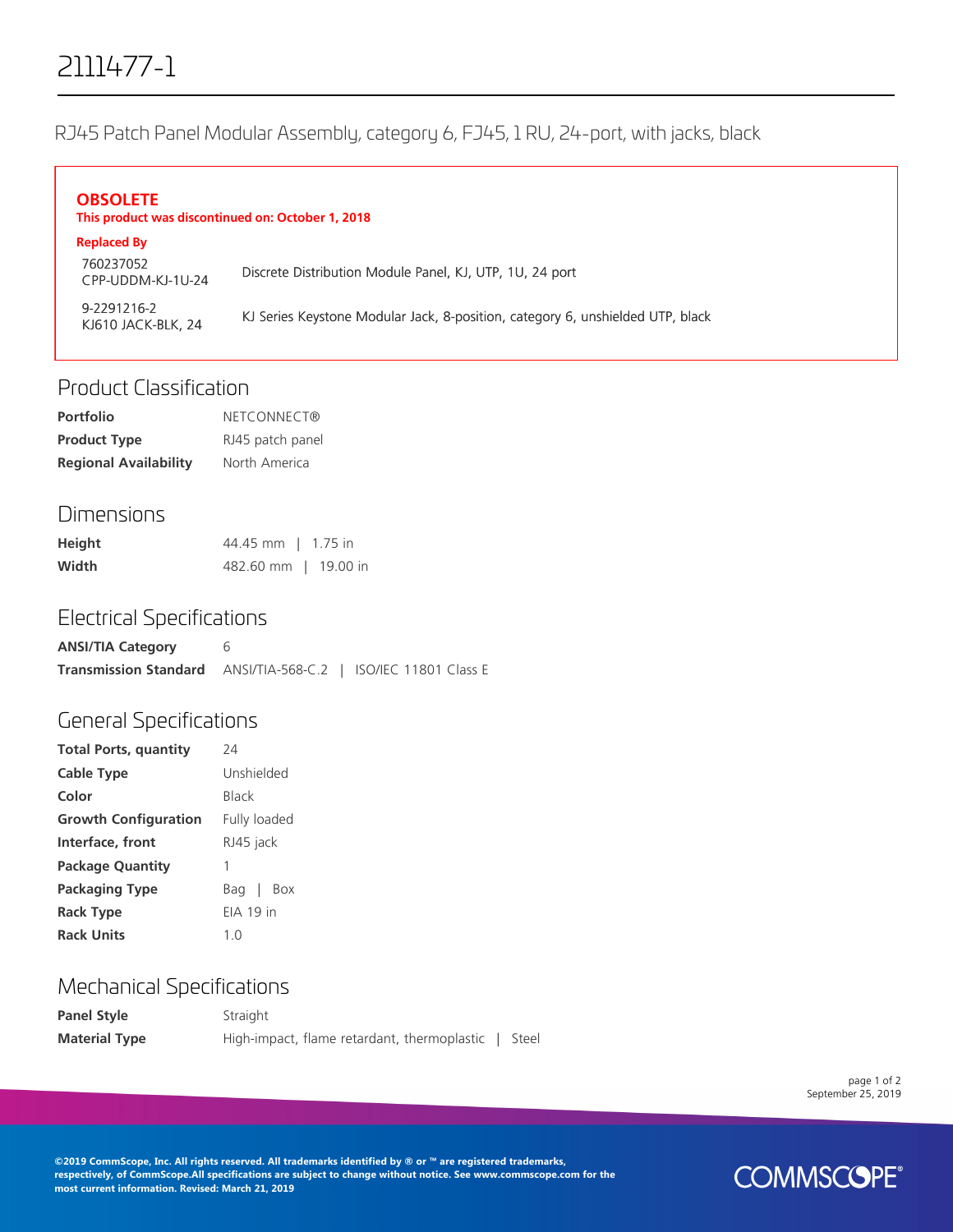# 2111477-1

RJ45 Patch Panel Modular Assembly, category 6, FJ45, 1 RU, 24-port, with jacks, black

#### **OBSOLETE This product was discontinued on: October 1, 2018 Replaced By**

| <b>Replaced By</b>                |                                                                                |
|-----------------------------------|--------------------------------------------------------------------------------|
| 760237052<br>CPP-UDDM-KJ-1U-24    | Discrete Distribution Module Panel, KJ, UTP, 1U, 24 port                       |
| 9-2291216-2<br>KJ610 JACK-BLK, 24 | KJ Series Keystone Modular Jack, 8-position, category 6, unshielded UTP, black |

# Product Classification

| <b>Portfolio</b>             | NETCONNECT®      |
|------------------------------|------------------|
| <b>Product Type</b>          | RJ45 patch panel |
| <b>Regional Availability</b> | North America    |

### Dimensions

| Height | 44.45 mm   1.75 in   |  |
|--------|----------------------|--|
| Width  | 482.60 mm   19.00 in |  |

#### Electrical Specifications

| <b>ANSI/TIA Category</b>                                              |  |
|-----------------------------------------------------------------------|--|
| <b>Transmission Standard</b> ANSI/TIA-568-C.2   ISO/IEC 11801 Class E |  |

## General Specifications

| <b>Total Ports, quantity</b> | 74               |  |
|------------------------------|------------------|--|
| <b>Cable Type</b>            | Unshielded       |  |
| Color                        | <b>Black</b>     |  |
| <b>Growth Configuration</b>  | Fully loaded     |  |
| Interface, front             | RJ45 jack        |  |
| <b>Package Quantity</b>      | 1                |  |
| <b>Packaging Type</b>        | Bag  <br>Box     |  |
| <b>Rack Type</b>             | <b>FIA 19 in</b> |  |
| <b>Rack Units</b>            | 1 <sub>0</sub>   |  |
|                              |                  |  |

# Mechanical Specifications

| <b>Panel Style</b>   | Straight                                    |       |
|----------------------|---------------------------------------------|-------|
| <b>Material Type</b> | High-impact, flame retardant, thermoplastic | Steel |

page 1 of 2 September 25, 2019

**©2019 CommScope, Inc. All rights reserved. All trademarks identified by ® or ™ are registered trademarks, respectively, of CommScope.All specifications are subject to change without notice. See www.commscope.com for the most current information. Revised: March 21, 2019**